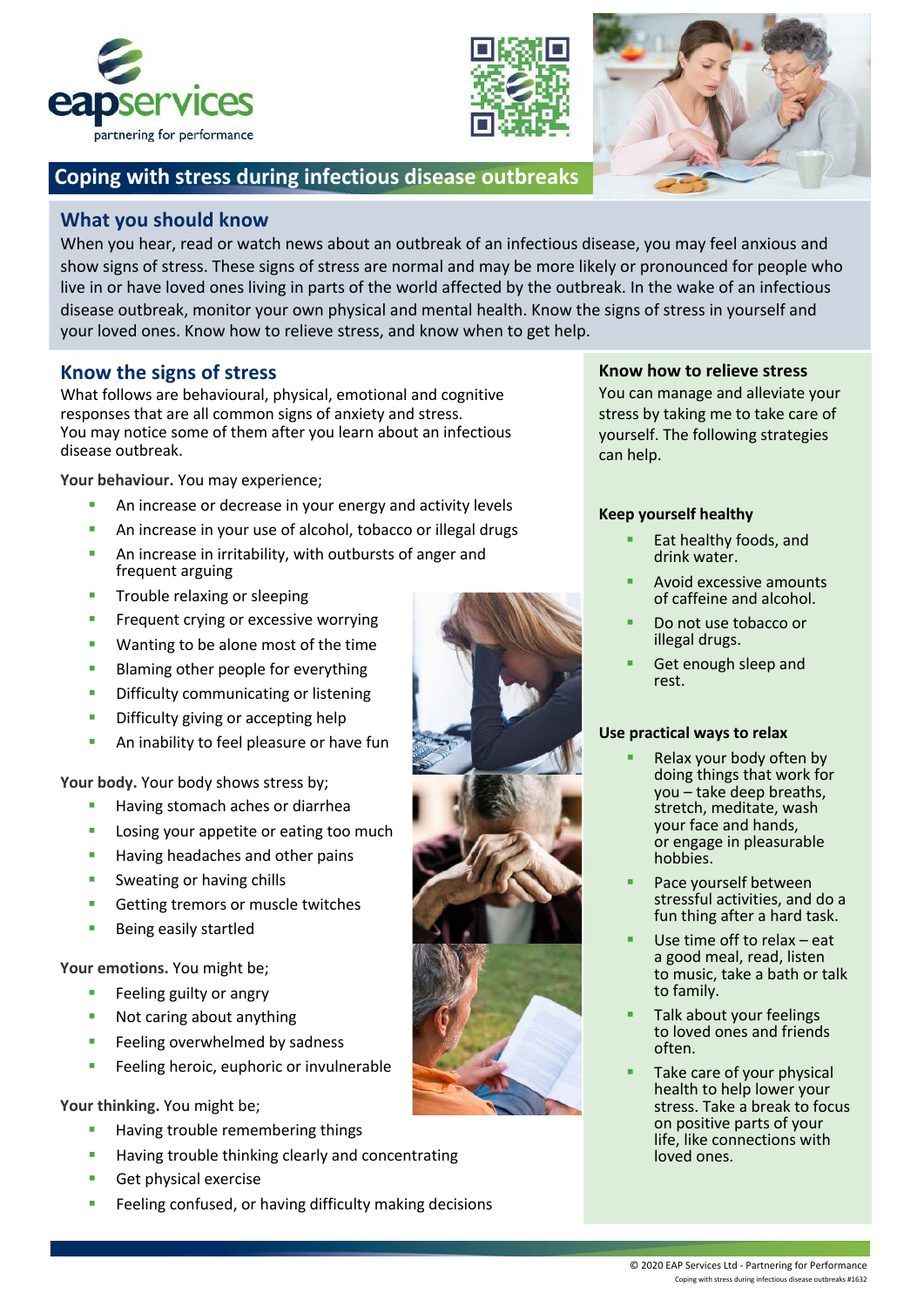





# **Coping with stress during infectious disease outbreaks**

## **What you should know**

When you hear, read or watch news about an outbreak of an infectious disease, you may feel anxious and show signs of stress. These signs of stress are normal and may be more likely or pronounced for people who live in or have loved ones living in parts of the world affected by the outbreak. In the wake of an infectious disease outbreak, monitor your own physical and mental health. Know the signs of stress in yourself and your loved ones. Know how to relieve stress, and know when to get help.

## **Know the signs of stress**

What follows are behavioural, physical, emotional and cognitive responses that are all common signs of anxiety and stress. You may notice some of them after you learn about an infectious disease outbreak.

**Your behaviour.** You may experience;

- § An increase or decrease in your energy and activity levels
- **An increase in your use of alcohol, tobacco or illegal drugs**
- **An increase in irritability, with outbursts of anger and** frequent arguing
- **•** Trouble relaxing or sleeping
- **•** Frequent crying or excessive worrying
- Wanting to be alone most of the time
- **Blaming other people for everything**
- **•** Difficulty communicating or listening
- **•** Difficulty giving or accepting help
- **An inability to feel pleasure or have fun**

Your body. Your body shows stress by;

- § Having stomach aches or diarrhea
- Losing your appetite or eating too much
- Having headaches and other pains
- Sweating or having chills
- Getting tremors or muscle twitches
- § Being easily startled

Your emotions. You might be;

- § Feeling guilty or angry
- § Not caring about anything
- Feeling overwhelmed by sadness
- Feeling heroic, euphoric or invulnerable

**Your thinking.** You might be;

- § Having trouble remembering things
- Having trouble thinking clearly and concentrating
- **•** Get physical exercise
- Feeling confused, or having difficulty making decisions

### **Know how to relieve stress**

You can manage and alleviate your stress by taking me to take care of yourself. The following strategies can help.

#### **Keep yourself healthy**

- Eat healthy foods, and drink water.
- § Avoid excessive amounts of caffeine and alcohol.
- § Do not use tobacco or illegal drugs.
- § Get enough sleep and rest.

#### **Use practical ways to relax**

- Relax your body often by doing things that work for you – take deep breaths, stretch, meditate, wash your face and hands, or engage in pleasurable hobbies.
- Pace yourself between stressful activities, and do a fun thing after a hard task.
- Use time off to relax eat a good meal, read, listen to music, take a bath or talk to family.
- § Talk about your feelings to loved ones and friends often.
- Take care of your physical health to help lower your stress. Take a break to focus on positive parts of your life, like connections with loved ones.